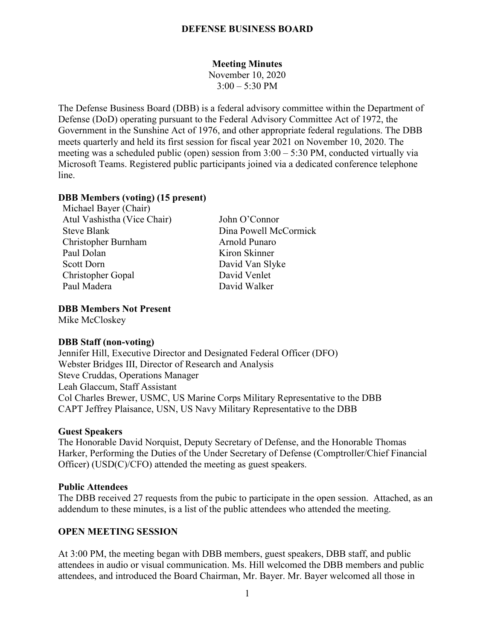## **DEFENSE BUSINESS BOARD**

### **Meeting Minutes**

November 10, 2020  $3:00 - 5:30$  PM

The Defense Business Board (DBB) is a federal advisory committee within the Department of Defense (DoD) operating pursuant to the Federal Advisory Committee Act of 1972, the Government in the Sunshine Act of 1976, and other appropriate federal regulations. The DBB meets quarterly and held its first session for fiscal year 2021 on November 10, 2020. The meeting was a scheduled public (open) session from 3:00 – 5:30 PM, conducted virtually via Microsoft Teams. Registered public participants joined via a dedicated conference telephone line.

#### **DBB Members (voting) (15 present)**

Michael Bayer (Chair) Atul Vashistha (Vice Chair) John O'Connor Steve Blank Dina Powell McCormick Christopher Burnham Arnold Punaro Paul Dolan Kiron Skinner Scott Dorn David Van Slyke Christopher Gopal David Venlet Paul Madera David Walker

#### **DBB Members Not Present**

Mike McCloskey

## **DBB Staff (non-voting)**

Jennifer Hill, Executive Director and Designated Federal Officer (DFO) Webster Bridges III, Director of Research and Analysis Steve Cruddas, Operations Manager Leah Glaccum, Staff Assistant Col Charles Brewer, USMC, US Marine Corps Military Representative to the DBB CAPT Jeffrey Plaisance, USN, US Navy Military Representative to the DBB

### **Guest Speakers**

The Honorable David Norquist, Deputy Secretary of Defense, and the Honorable Thomas Harker, Performing the Duties of the Under Secretary of Defense (Comptroller/Chief Financial Officer) (USD(C)/CFO) attended the meeting as guest speakers.

#### **Public Attendees**

The DBB received 27 requests from the pubic to participate in the open session. Attached, as an addendum to these minutes, is a list of the public attendees who attended the meeting.

#### **OPEN MEETING SESSION**

At 3:00 PM, the meeting began with DBB members, guest speakers, DBB staff, and public attendees in audio or visual communication. Ms. Hill welcomed the DBB members and public attendees, and introduced the Board Chairman, Mr. Bayer. Mr. Bayer welcomed all those in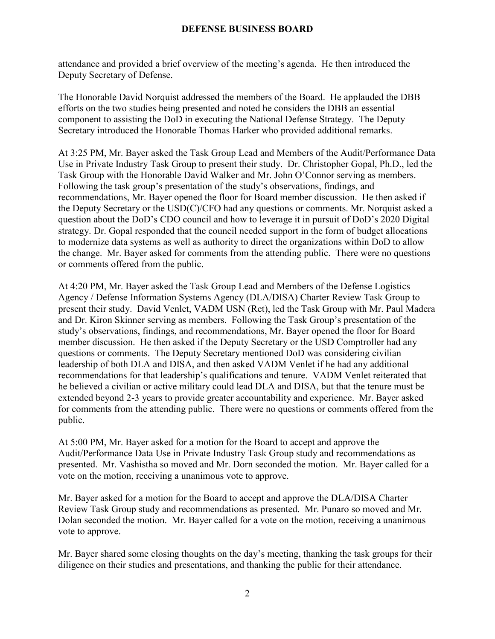# **DEFENSE BUSINESS BOARD**

attendance and provided a brief overview of the meeting's agenda. He then introduced the Deputy Secretary of Defense.

The Honorable David Norquist addressed the members of the Board. He applauded the DBB efforts on the two studies being presented and noted he considers the DBB an essential component to assisting the DoD in executing the National Defense Strategy. The Deputy Secretary introduced the Honorable Thomas Harker who provided additional remarks.

At 3:25 PM, Mr. Bayer asked the Task Group Lead and Members of the Audit/Performance Data Use in Private Industry Task Group to present their study. Dr. Christopher Gopal, Ph.D., led the Task Group with the Honorable David Walker and Mr. John O'Connor serving as members. Following the task group's presentation of the study's observations, findings, and recommendations, Mr. Bayer opened the floor for Board member discussion. He then asked if the Deputy Secretary or the USD(C)/CFO had any questions or comments. Mr. Norquist asked a question about the DoD's CDO council and how to leverage it in pursuit of DoD's 2020 Digital strategy. Dr. Gopal responded that the council needed support in the form of budget allocations to modernize data systems as well as authority to direct the organizations within DoD to allow the change. Mr. Bayer asked for comments from the attending public. There were no questions or comments offered from the public.

At 4:20 PM, Mr. Bayer asked the Task Group Lead and Members of the Defense Logistics Agency / Defense Information Systems Agency (DLA/DISA) Charter Review Task Group to present their study. David Venlet, VADM USN (Ret), led the Task Group with Mr. Paul Madera and Dr. Kiron Skinner serving as members. Following the Task Group's presentation of the study's observations, findings, and recommendations, Mr. Bayer opened the floor for Board member discussion. He then asked if the Deputy Secretary or the USD Comptroller had any questions or comments. The Deputy Secretary mentioned DoD was considering civilian leadership of both DLA and DISA, and then asked VADM Venlet if he had any additional recommendations for that leadership's qualifications and tenure. VADM Venlet reiterated that he believed a civilian or active military could lead DLA and DISA, but that the tenure must be extended beyond 2-3 years to provide greater accountability and experience. Mr. Bayer asked for comments from the attending public. There were no questions or comments offered from the public.

At 5:00 PM, Mr. Bayer asked for a motion for the Board to accept and approve the Audit/Performance Data Use in Private Industry Task Group study and recommendations as presented. Mr. Vashistha so moved and Mr. Dorn seconded the motion. Mr. Bayer called for a vote on the motion, receiving a unanimous vote to approve.

Mr. Bayer asked for a motion for the Board to accept and approve the DLA/DISA Charter Review Task Group study and recommendations as presented. Mr. Punaro so moved and Mr. Dolan seconded the motion. Mr. Bayer called for a vote on the motion, receiving a unanimous vote to approve.

Mr. Bayer shared some closing thoughts on the day's meeting, thanking the task groups for their diligence on their studies and presentations, and thanking the public for their attendance.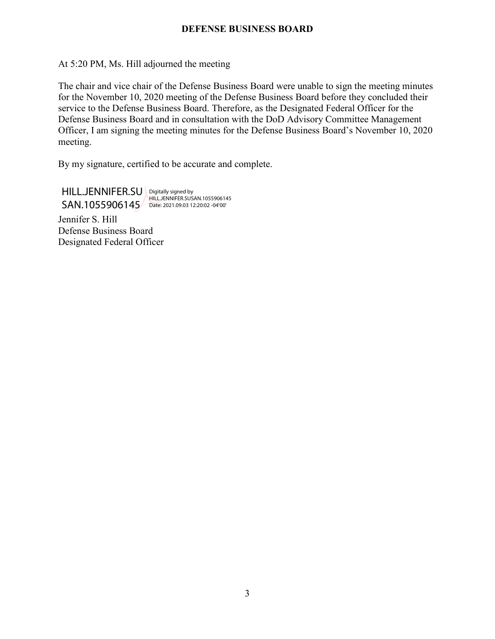# **DEFENSE BUSINESS BOARD**

## At 5:20 PM, Ms. Hill adjourned the meeting

The chair and vice chair of the Defense Business Board were unable to sign the meeting minutes for the November 10, 2020 meeting of the Defense Business Board before they concluded their service to the Defense Business Board. Therefore, as the Designated Federal Officer for the Defense Business Board and in consultation with the DoD Advisory Committee Management Officer, I am signing the meeting minutes for the Defense Business Board's November 10, 2020 meeting.

By my signature, certified to be accurate and complete.

HILL.JENNIFER.SU **Digitally signed by** SAN.1055906145 Date: 2021.09.03 12:20:02 -04'00'HILL.JENNIFER.SUSAN.1055906145

Jennifer S. Hill Defense Business Board Designated Federal Officer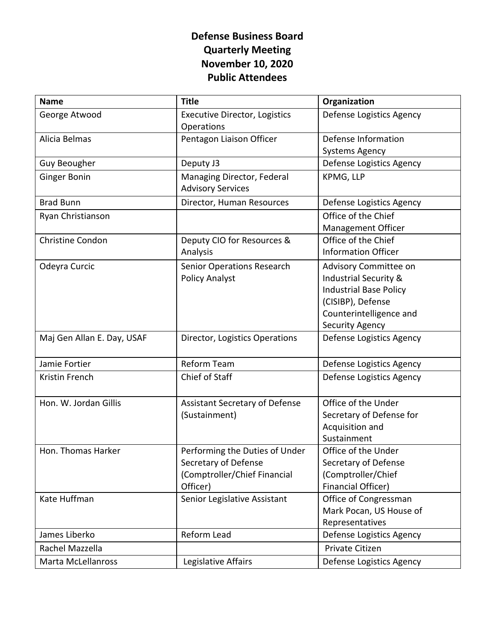# **Defense Business Board Quarterly Meeting November 10, 2020 Public Attendees**

| <b>Name</b>                | <b>Title</b>                                           | Organization                  |
|----------------------------|--------------------------------------------------------|-------------------------------|
| George Atwood              | <b>Executive Director, Logistics</b><br>Operations     | Defense Logistics Agency      |
| Alicia Belmas              | Pentagon Liaison Officer                               | Defense Information           |
|                            |                                                        | <b>Systems Agency</b>         |
| <b>Guy Beougher</b>        | Deputy J3                                              | Defense Logistics Agency      |
| <b>Ginger Bonin</b>        | Managing Director, Federal<br><b>Advisory Services</b> | KPMG, LLP                     |
| <b>Brad Bunn</b>           | Director, Human Resources                              | Defense Logistics Agency      |
| Ryan Christianson          |                                                        | Office of the Chief           |
|                            |                                                        | Management Officer            |
| <b>Christine Condon</b>    | Deputy CIO for Resources &                             | Office of the Chief           |
|                            | Analysis                                               | <b>Information Officer</b>    |
| Odeyra Curcic              | Senior Operations Research                             | Advisory Committee on         |
|                            | <b>Policy Analyst</b>                                  | Industrial Security &         |
|                            |                                                        | <b>Industrial Base Policy</b> |
|                            |                                                        | (CISIBP), Defense             |
|                            |                                                        | Counterintelligence and       |
|                            |                                                        | <b>Security Agency</b>        |
| Maj Gen Allan E. Day, USAF | Director, Logistics Operations                         | Defense Logistics Agency      |
| Jamie Fortier              | Reform Team                                            | Defense Logistics Agency      |
| Kristin French             | Chief of Staff                                         | Defense Logistics Agency      |
| Hon. W. Jordan Gillis      | <b>Assistant Secretary of Defense</b>                  | Office of the Under           |
|                            | (Sustainment)                                          | Secretary of Defense for      |
|                            |                                                        | Acquisition and               |
|                            |                                                        | Sustainment                   |
| Hon. Thomas Harker         | Performing the Duties of Under                         | Office of the Under           |
|                            | Secretary of Defense                                   | Secretary of Defense          |
|                            | (Comptroller/Chief Financial                           | (Comptroller/Chief            |
|                            | Officer)                                               | <b>Financial Officer)</b>     |
| Kate Huffman               | Senior Legislative Assistant                           | Office of Congressman         |
|                            |                                                        | Mark Pocan, US House of       |
|                            |                                                        | Representatives               |
| James Liberko              | Reform Lead                                            | Defense Logistics Agency      |
| Rachel Mazzella            |                                                        | Private Citizen               |
| Marta McLellanross         | Legislative Affairs                                    | Defense Logistics Agency      |